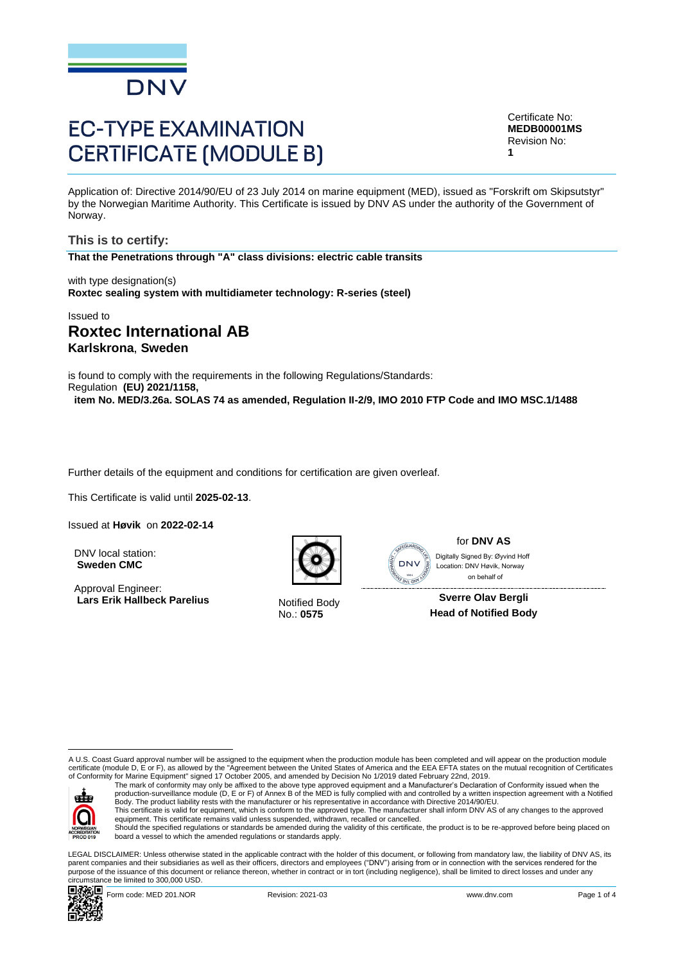

# **EC-TYPE EXAMINATION CERTIFICATE (MODULE B)**

Certificate No: **MEDB00001MS** Revision No: **1**

Application of: Directive 2014/90/EU of 23 July 2014 on marine equipment (MED), issued as "Forskrift om Skipsutstyr" by the Norwegian Maritime Authority. This Certificate is issued by DNV AS under the authority of the Government of Norway.

**This is to certify: That the Penetrations through "A" class divisions: electric cable transits**

with type designation(s) **Roxtec sealing system with multidiameter technology: R-series (steel)**

Issued to

# **Roxtec International AB Karlskrona**, **Sweden**

is found to comply with the requirements in the following Regulations/Standards: Regulation **(EU) 2021/1158, item No. MED/3.26a. SOLAS 74 as amended, Regulation II-2/9, IMO 2010 FTP Code and IMO MSC.1/1488**

Further details of the equipment and conditions for certification are given overleaf.

... This Certificate is valid until **2025-02-13**.

Issued at **Høvik** on **2022-02-14**

DNV local station: **Sweden CMC**

Approval Engineer: **Lars Erik Hallbeck Parelius** Notified Body



No.: **0575**



for **DNV AS**

 on behalf ofDigitally Signed By: Øyvind Hoff Location: DNV Høvik, Norway

**Sverre Olav Bergli Head of Notified Body**

A U.S. Coast Guard approval number will be assigned to the equipment when the production module has been completed and will appear on the production module certificate (module D, E or F), as allowed by the "Agreement between the United States of America and the EEA EFTA states on the mutual recognition of Certificates<br>of Conformity for Marine Equipment" signed 17 October 2005



The mark of conformity may only be affixed to the above type approved equipment and a Manufacturer's Declaration of Conformity issued when the<br>production-surveillance module (D, E or F) of Annex B of the MED is fully compl Body. The product liability rests with the manufacturer or his representative in accordance with Directive 2014/90/EU.

This certificate is valid for equipment, which is conform to the approved type. The manufacturer shall inform DNV AS of any changes to the approved<br>equipment. This certificate remains valid unless suspended, withdrawn, rec Should the specified regulations or standards be amended during the validity of this certificate, the product is to be re-approved before being placed on board a vessel to which the amended regulations or standards apply.

LEGAL DISCLAIMER: Unless otherwise stated in the applicable contract with the holder of this document, or following from mandatory law, the liability of DNV AS, its parent companies and their subsidiaries as well as their officers, directors and employees ("DNV") arising from or in connection with the services rendered for the purpose of the issuance of this document or reliance thereon, whether in contract or in tort (including negligence), shall be limited to direct losses and under any circumstance be limited to 300,000 USD.

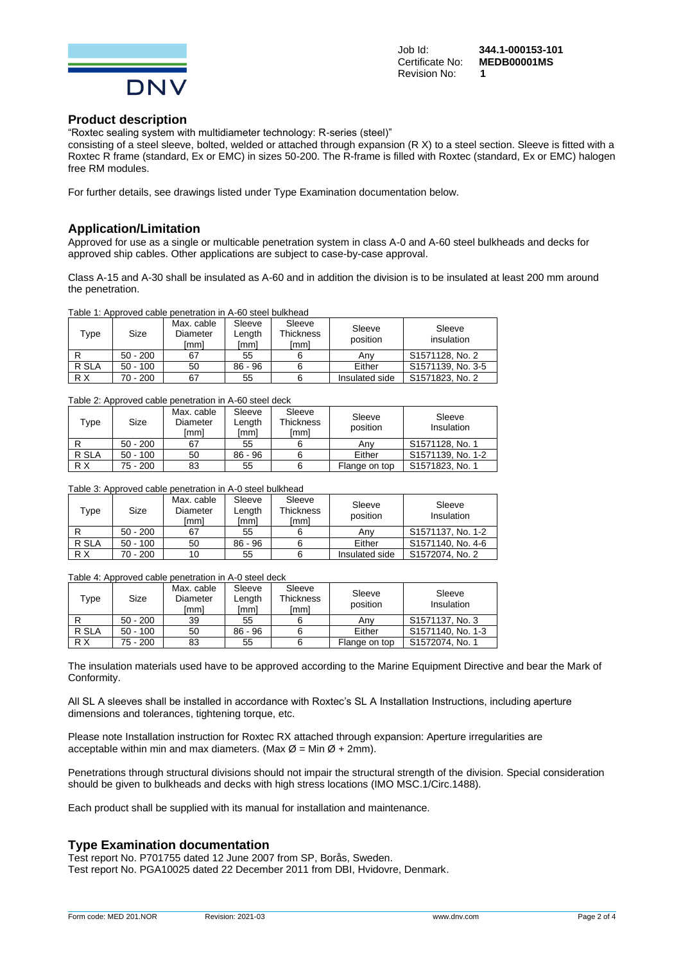

#### **Product description**

"Roxtec sealing system with multidiameter technology: R-series (steel)"

consisting of a steel sleeve, bolted, welded or attached through expansion (R X) to a steel section. Sleeve is fitted with a Roxtec R frame (standard, Ex or EMC) in sizes 50-200. The R-frame is filled with Roxtec (standard, Ex or EMC) halogen free RM modules.

For further details, see drawings listed under Type Examination documentation below.

## **Application/Limitation**

Approved for use as a single or multicable penetration system in class A-0 and A-60 steel bulkheads and decks for approved ship cables. Other applications are subject to case-by-case approval.

Class A-15 and A-30 shall be insulated as A-60 and in addition the division is to be insulated at least 200 mm around the penetration.

|  | Table 1: Approved cable penetration in A-60 steel bulkhead |  |  |
|--|------------------------------------------------------------|--|--|
|  |                                                            |  |  |

| Type  | Size       | Max. cable<br>Diameter<br>[mm] | Sleeve<br>Lenath<br>[mm] | Sleeve<br><b>Thickness</b><br>[mm] | Sleeve<br>position | Sleeve<br>insulation |
|-------|------------|--------------------------------|--------------------------|------------------------------------|--------------------|----------------------|
|       | $50 - 200$ | 67                             | 55                       |                                    | Anv                | S1571128, No. 2      |
| R SLA | $50 - 100$ | 50                             | $86 - 96$                |                                    | Either             | S1571139, No. 3-5    |
| R X   | 70 - 200   | 67                             | 55                       |                                    | Insulated side     | S1571823, No. 2      |

#### Table 2: Approved cable penetration in A-60 steel deck

| $\tau_\mathsf{ype}$ | Size       | Max. cable<br>Diameter<br>[mm] | Sleeve<br>∟ength<br>[mm] | Sleeve<br><b>Thickness</b><br>[mm] | Sleeve<br>position | Sleeve<br>Insulation |
|---------------------|------------|--------------------------------|--------------------------|------------------------------------|--------------------|----------------------|
|                     | $50 - 200$ | 67                             | 55                       |                                    | Any                | S1571128, No. 1      |
| R SLA               | $50 - 100$ | 50                             | $86 - 96$                |                                    | Either             | S1571139, No. 1-2    |
| R X                 | 75 - 200   | 83                             | 55                       |                                    | Flange on top      | S1571823, No. 1      |

#### Table 3: Approved cable penetration in A-0 steel bulkhead

| $\mathsf{Type}$ | Size       | Max. cable<br>Diameter<br>[mm] | Sleeve<br>Length<br>[mm] | Sleeve<br><b>Thickness</b><br>[mm] | Sleeve<br>position | Sleeve<br>Insulation |
|-----------------|------------|--------------------------------|--------------------------|------------------------------------|--------------------|----------------------|
|                 | $50 - 200$ | 67                             | 55                       |                                    | Anv                | S1571137, No. 1-2    |
| R SLA           | $50 - 100$ | 50                             | $86 - 96$                |                                    | Either             | S1571140, No. 4-6    |
| R X             | 70 - 200   | 10                             | 55                       |                                    | Insulated side     | S1572074, No. 2      |

Table 4: Approved cable penetration in A-0 steel deck

| Type  | Size       | Max. cable<br>Diameter<br>[mm] | Sleeve<br>Length<br>[mm] | Sleeve<br><b>Thickness</b><br>[mm] | Sleeve<br>position | Sleeve<br>Insulation |
|-------|------------|--------------------------------|--------------------------|------------------------------------|--------------------|----------------------|
|       | $50 - 200$ | 39                             | 55                       |                                    | Anv                | S1571137, No. 3      |
| R SLA | $50 - 100$ | 50                             | $86 - 96$                |                                    | Either             | S1571140, No. 1-3    |
| R X   | 75 - 200   | 83                             | 55                       |                                    | Flange on top      | S1572074, No. 1      |

The insulation materials used have to be approved according to the Marine Equipment Directive and bear the Mark of Conformity.

All SL A sleeves shall be installed in accordance with Roxtec's SL A Installation Instructions, including aperture dimensions and tolerances, tightening torque, etc.

Please note Installation instruction for Roxtec RX attached through expansion: Aperture irregularities are acceptable within min and max diameters. (Max  $\varnothing$  = Min  $\varnothing$  + 2mm).

Penetrations through structural divisions should not impair the structural strength of the division. Special consideration should be given to bulkheads and decks with high stress locations (IMO MSC.1/Circ.1488).

Each product shall be supplied with its manual for installation and maintenance.

# **Type Examination documentation**

Test report No. P701755 dated 12 June 2007 from SP, Borås, Sweden. Test report No. PGA10025 dated 22 December 2011 from DBI, Hvidovre, Denmark.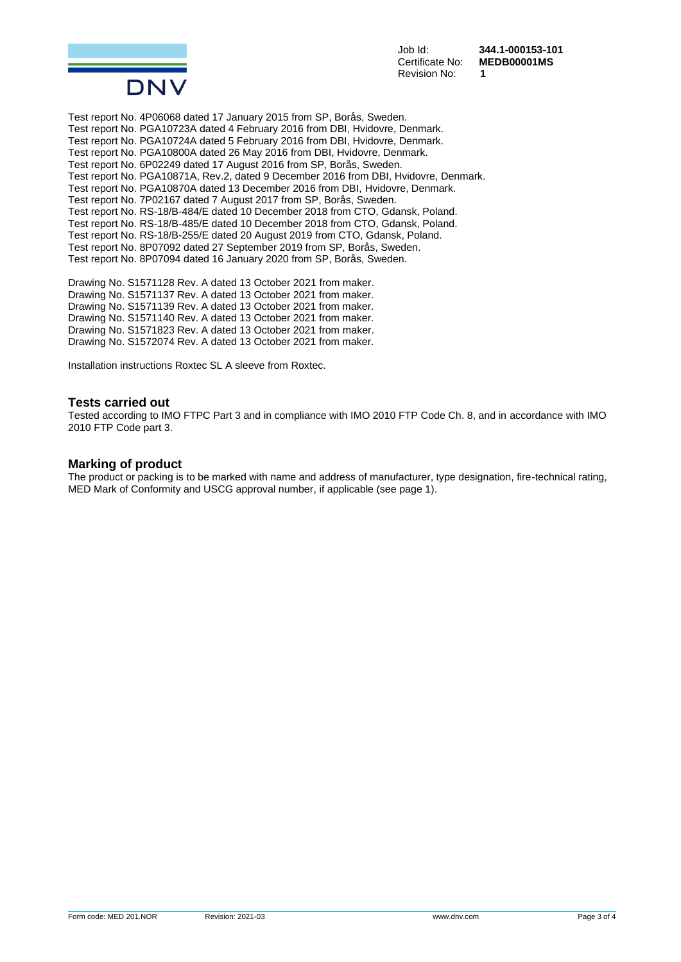

Revision No: **1**

Job Id: **344.1-000153-101** Certificate No: **MEDB00001MS**

Test report No. 4P06068 dated 17 January 2015 from SP, Borås, Sweden. Test report No. PGA10723A dated 4 February 2016 from DBI, Hvidovre, Denmark. Test report No. PGA10724A dated 5 February 2016 from DBI, Hvidovre, Denmark. Test report No. PGA10800A dated 26 May 2016 from DBI, Hvidovre, Denmark. Test report No. 6P02249 dated 17 August 2016 from SP, Borås, Sweden. Test report No. PGA10871A, Rev.2, dated 9 December 2016 from DBI, Hvidovre, Denmark. Test report No. PGA10870A dated 13 December 2016 from DBI, Hvidovre, Denmark. Test report No. 7P02167 dated 7 August 2017 from SP, Borås, Sweden. Test report No. RS-18/B-484/E dated 10 December 2018 from CTO, Gdansk, Poland. Test report No. RS-18/B-485/E dated 10 December 2018 from CTO, Gdansk, Poland. Test report No. RS-18/B-255/E dated 20 August 2019 from CTO, Gdansk, Poland. Test report No. 8P07092 dated 27 September 2019 from SP, Borås, Sweden. Test report No. 8P07094 dated 16 January 2020 from SP, Borås, Sweden.

Drawing No. S1571128 Rev. A dated 13 October 2021 from maker. Drawing No. S1571137 Rev. A dated 13 October 2021 from maker. Drawing No. S1571139 Rev. A dated 13 October 2021 from maker. Drawing No. S1571140 Rev. A dated 13 October 2021 from maker. Drawing No. S1571823 Rev. A dated 13 October 2021 from maker. Drawing No. S1572074 Rev. A dated 13 October 2021 from maker.

Installation instructions Roxtec SL A sleeve from Roxtec.

#### **Tests carried out**

Tested according to IMO FTPC Part 3 and in compliance with IMO 2010 FTP Code Ch. 8, and in accordance with IMO 2010 FTP Code part 3.

#### **Marking of product**

The product or packing is to be marked with name and address of manufacturer, type designation, fire-technical rating, MED Mark of Conformity and USCG approval number, if applicable (see page 1).